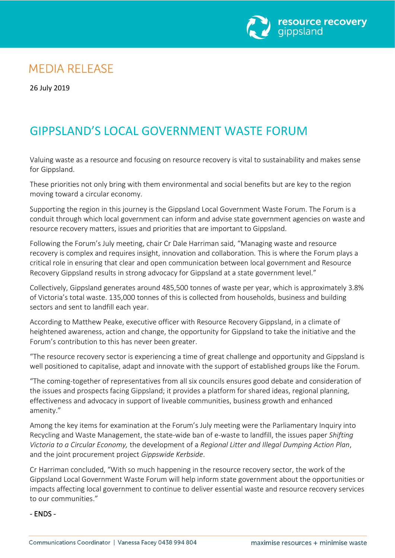

# **MEDIA RELEASE**

26 July 2019

# GIPPSLAND'S LOCAL GOVERNMENT WASTE FORUM

Valuing waste as a resource and focusing on resource recovery is vital to sustainability and makes sense for Gippsland.

These priorities not only bring with them environmental and social benefits but are key to the region moving toward a circular economy.

Supporting the region in this journey is the Gippsland Local Government Waste Forum. The Forum is a conduit through which local government can inform and advise state government agencies on waste and resource recovery matters, issues and priorities that are important to Gippsland.

Following the Forum's July meeting, chair Cr Dale Harriman said, "Managing waste and resource recovery is complex and requires insight, innovation and collaboration. This is where the Forum plays a critical role in ensuring that clear and open communication between local government and Resource Recovery Gippsland results in strong advocacy for Gippsland at a state government level."

Collectively, Gippsland generates around 485,500 tonnes of waste per year, which is approximately 3.8% of Victoria's total waste. 135,000 tonnes of this is collected from households, business and building sectors and sent to landfill each year.

According to Matthew Peake, executive officer with Resource Recovery Gippsland, in a climate of heightened awareness, action and change, the opportunity for Gippsland to take the initiative and the Forum's contribution to this has never been greater.

"The resource recovery sector is experiencing a time of great challenge and opportunity and Gippsland is well positioned to capitalise, adapt and innovate with the support of established groups like the Forum.

"The coming-together of representatives from all six councils ensures good debate and consideration of the issues and prospects facing Gippsland; it provides a platform for shared ideas, regional planning, effectiveness and advocacy in support of liveable communities, business growth and enhanced amenity."

Among the key items for examination at the Forum's July meeting were the Parliamentary Inquiry into Recycling and Waste Management, the state-wide ban of e-waste to landfill, the issues paper *Shifting Victoria to a Circular Economy,* the development of a *Regional Litter and Illegal Dumping Action Plan*, and the joint procurement project *Gippswide Kerbside*.

Cr Harriman concluded, "With so much happening in the resource recovery sector, the work of the Gippsland Local Government Waste Forum will help inform state government about the opportunities or impacts affecting local government to continue to deliver essential waste and resource recovery services to our communities."

### - ENDS -